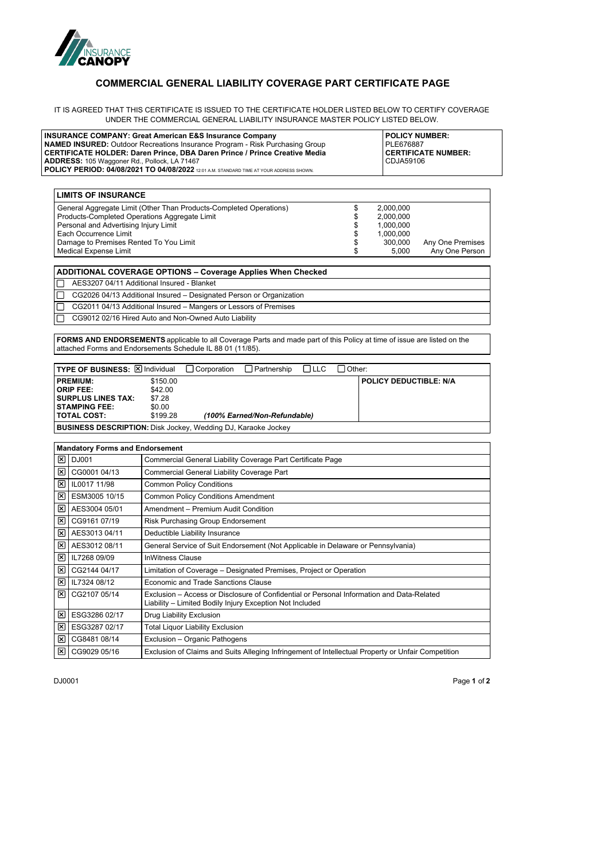

## **COMMERCIAL GENERAL LIABILITY COVERAGE PART CERTIFICATE PAGE**

IT IS AGREED THAT THIS CERTIFICATE IS ISSUED TO THE CERTIFICATE HOLDER LISTED BELOW TO CERTIFY COVERAGE UNDER THE COMMERCIAL GENERAL LIABILITY INSURANCE MASTER POLICY LISTED BELOW.

| <b>INSURANCE COMPANY: Great American E&amp;S Insurance Company</b><br><b>NAMED INSURED:</b> Outdoor Recreations Insurance Program - Risk Purchasing Group<br><b>CERTIFICATE HOLDER: Daren Prince, DBA Daren Prince / Prince Creative Media</b><br>ADDRESS: 105 Waggoner Rd., Pollock, LA 71467<br>POLICY PERIOD: 04/08/2021 TO 04/08/2022 12:01 A.M. STANDARD TIME AT YOUR ADDRESS SHOWN. |                                                                                                                                                                                                                                                          |                                           |                    |                                                                                                                                                       |            |                                  | <b>POLICY NUMBER:</b><br>PLE676887<br><b>CERTIFICATE NUMBER:</b><br>CDJA59106 |                                    |
|-------------------------------------------------------------------------------------------------------------------------------------------------------------------------------------------------------------------------------------------------------------------------------------------------------------------------------------------------------------------------------------------|----------------------------------------------------------------------------------------------------------------------------------------------------------------------------------------------------------------------------------------------------------|-------------------------------------------|--------------------|-------------------------------------------------------------------------------------------------------------------------------------------------------|------------|----------------------------------|-------------------------------------------------------------------------------|------------------------------------|
|                                                                                                                                                                                                                                                                                                                                                                                           | <b>LIMITS OF INSURANCE</b>                                                                                                                                                                                                                               |                                           |                    |                                                                                                                                                       |            |                                  |                                                                               |                                    |
|                                                                                                                                                                                                                                                                                                                                                                                           | General Aggregate Limit (Other Than Products-Completed Operations)<br>Products-Completed Operations Aggregate Limit<br>Personal and Advertising Injury Limit<br>Each Occurrence Limit<br>Damage to Premises Rented To You Limit<br>Medical Expense Limit |                                           |                    |                                                                                                                                                       |            | \$<br>\$<br>\$<br>\$<br>\$<br>\$ | 2,000,000<br>2,000,000<br>1,000,000<br>1,000,000<br>300,000<br>5,000          | Any One Premises<br>Any One Person |
|                                                                                                                                                                                                                                                                                                                                                                                           | <b>ADDITIONAL COVERAGE OPTIONS - Coverage Applies When Checked</b>                                                                                                                                                                                       |                                           |                    |                                                                                                                                                       |            |                                  |                                                                               |                                    |
|                                                                                                                                                                                                                                                                                                                                                                                           | AES3207 04/11 Additional Insured - Blanket                                                                                                                                                                                                               |                                           |                    |                                                                                                                                                       |            |                                  |                                                                               |                                    |
|                                                                                                                                                                                                                                                                                                                                                                                           | CG2026 04/13 Additional Insured - Designated Person or Organization                                                                                                                                                                                      |                                           |                    |                                                                                                                                                       |            |                                  |                                                                               |                                    |
|                                                                                                                                                                                                                                                                                                                                                                                           | CG2011 04/13 Additional Insured - Mangers or Lessors of Premises                                                                                                                                                                                         |                                           |                    |                                                                                                                                                       |            |                                  |                                                                               |                                    |
|                                                                                                                                                                                                                                                                                                                                                                                           | CG9012 02/16 Hired Auto and Non-Owned Auto Liability                                                                                                                                                                                                     |                                           |                    |                                                                                                                                                       |            |                                  |                                                                               |                                    |
|                                                                                                                                                                                                                                                                                                                                                                                           |                                                                                                                                                                                                                                                          |                                           |                    |                                                                                                                                                       |            |                                  |                                                                               |                                    |
|                                                                                                                                                                                                                                                                                                                                                                                           | FORMS AND ENDORSEMENTS applicable to all Coverage Parts and made part of this Policy at time of issue are listed on the<br>attached Forms and Endorsements Schedule IL 88 01 (11/85).                                                                    |                                           |                    |                                                                                                                                                       |            |                                  |                                                                               |                                    |
|                                                                                                                                                                                                                                                                                                                                                                                           |                                                                                                                                                                                                                                                          |                                           |                    |                                                                                                                                                       |            |                                  |                                                                               |                                    |
|                                                                                                                                                                                                                                                                                                                                                                                           | TYPE OF BUSINESS: X Individual                                                                                                                                                                                                                           |                                           | $\Box$ Corporation | $\Box$ Partnership                                                                                                                                    | $\Box$ LLC | │ Other:                         |                                                                               |                                    |
|                                                                                                                                                                                                                                                                                                                                                                                           | <b>PREMIUM:</b>                                                                                                                                                                                                                                          | \$150.00                                  |                    |                                                                                                                                                       |            |                                  | <b>POLICY DEDUCTIBLE: N/A</b>                                                 |                                    |
|                                                                                                                                                                                                                                                                                                                                                                                           | <b>ORIP FEE:</b>                                                                                                                                                                                                                                         | \$42.00                                   |                    |                                                                                                                                                       |            |                                  |                                                                               |                                    |
|                                                                                                                                                                                                                                                                                                                                                                                           | <b>SURPLUS LINES TAX:</b><br><b>STAMPING FEE:</b>                                                                                                                                                                                                        | \$7.28<br>\$0.00                          |                    |                                                                                                                                                       |            |                                  |                                                                               |                                    |
|                                                                                                                                                                                                                                                                                                                                                                                           | TOTAL COST:                                                                                                                                                                                                                                              | \$199.28                                  |                    | (100% Earned/Non-Refundable)                                                                                                                          |            |                                  |                                                                               |                                    |
|                                                                                                                                                                                                                                                                                                                                                                                           | <b>BUSINESS DESCRIPTION:</b> Disk Jockey, Wedding DJ, Karaoke Jockey                                                                                                                                                                                     |                                           |                    |                                                                                                                                                       |            |                                  |                                                                               |                                    |
|                                                                                                                                                                                                                                                                                                                                                                                           |                                                                                                                                                                                                                                                          |                                           |                    |                                                                                                                                                       |            |                                  |                                                                               |                                    |
|                                                                                                                                                                                                                                                                                                                                                                                           | <b>Mandatory Forms and Endorsement</b>                                                                                                                                                                                                                   |                                           |                    |                                                                                                                                                       |            |                                  |                                                                               |                                    |
| l×l I                                                                                                                                                                                                                                                                                                                                                                                     | DJ001                                                                                                                                                                                                                                                    |                                           |                    |                                                                                                                                                       |            |                                  |                                                                               |                                    |
| ⊠                                                                                                                                                                                                                                                                                                                                                                                         |                                                                                                                                                                                                                                                          |                                           |                    | Commercial General Liability Coverage Part Certificate Page                                                                                           |            |                                  |                                                                               |                                    |
|                                                                                                                                                                                                                                                                                                                                                                                           | CG0001 04/13                                                                                                                                                                                                                                             |                                           |                    | Commercial General Liability Coverage Part                                                                                                            |            |                                  |                                                                               |                                    |
| ⊠                                                                                                                                                                                                                                                                                                                                                                                         | I IL0017 11/98                                                                                                                                                                                                                                           | <b>Common Policy Conditions</b>           |                    |                                                                                                                                                       |            |                                  |                                                                               |                                    |
| ⊠                                                                                                                                                                                                                                                                                                                                                                                         | ESM3005 10/15                                                                                                                                                                                                                                            | <b>Common Policy Conditions Amendment</b> |                    |                                                                                                                                                       |            |                                  |                                                                               |                                    |
| Ι×Ι                                                                                                                                                                                                                                                                                                                                                                                       | AES3004 05/01                                                                                                                                                                                                                                            | Amendment - Premium Audit Condition       |                    |                                                                                                                                                       |            |                                  |                                                                               |                                    |
| l×l                                                                                                                                                                                                                                                                                                                                                                                       | CG9161 07/19                                                                                                                                                                                                                                             | <b>Risk Purchasing Group Endorsement</b>  |                    |                                                                                                                                                       |            |                                  |                                                                               |                                    |
| l×l                                                                                                                                                                                                                                                                                                                                                                                       | AES3013 04/11                                                                                                                                                                                                                                            | Deductible Liability Insurance            |                    |                                                                                                                                                       |            |                                  |                                                                               |                                    |
| l×l                                                                                                                                                                                                                                                                                                                                                                                       | AES3012 08/11                                                                                                                                                                                                                                            |                                           |                    | General Service of Suit Endorsement (Not Applicable in Delaware or Pennsylvania)                                                                      |            |                                  |                                                                               |                                    |
| ⊠                                                                                                                                                                                                                                                                                                                                                                                         | IL7268 09/09                                                                                                                                                                                                                                             | <b>InWitness Clause</b>                   |                    |                                                                                                                                                       |            |                                  |                                                                               |                                    |
| ⊠                                                                                                                                                                                                                                                                                                                                                                                         | CG2144 04/17                                                                                                                                                                                                                                             |                                           |                    | Limitation of Coverage - Designated Premises, Project or Operation                                                                                    |            |                                  |                                                                               |                                    |
| ⊠ ∣                                                                                                                                                                                                                                                                                                                                                                                       | IL7324 08/12                                                                                                                                                                                                                                             | Economic and Trade Sanctions Clause       |                    |                                                                                                                                                       |            |                                  |                                                                               |                                    |
| ×                                                                                                                                                                                                                                                                                                                                                                                         | CG2107 05/14                                                                                                                                                                                                                                             |                                           |                    | Exclusion – Access or Disclosure of Confidential or Personal Information and Data-Related<br>Liability - Limited Bodily Injury Exception Not Included |            |                                  |                                                                               |                                    |
| ⊠                                                                                                                                                                                                                                                                                                                                                                                         | ESG3286 02/17                                                                                                                                                                                                                                            | Drug Liability Exclusion                  |                    |                                                                                                                                                       |            |                                  |                                                                               |                                    |
| $\mathsf{\times}$                                                                                                                                                                                                                                                                                                                                                                         | ESG3287 02/17                                                                                                                                                                                                                                            | <b>Total Liquor Liability Exclusion</b>   |                    |                                                                                                                                                       |            |                                  |                                                                               |                                    |
| $\mathsf{\times}$                                                                                                                                                                                                                                                                                                                                                                         | CG8481 08/14                                                                                                                                                                                                                                             | Exclusion - Organic Pathogens             |                    |                                                                                                                                                       |            |                                  |                                                                               |                                    |

DJ0001 Page **1** of **2**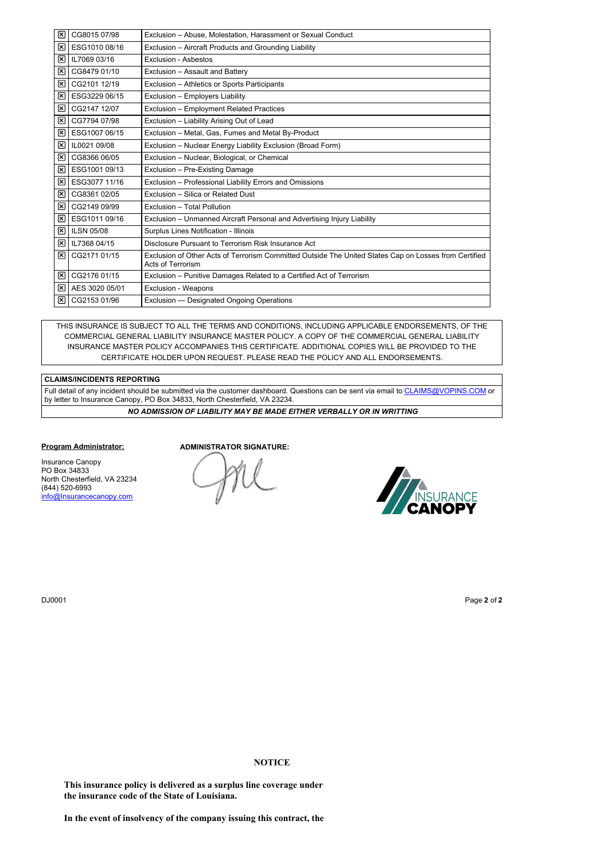| ×  | CG8015 07/98      | Exclusion - Abuse, Molestation, Harassment or Sexual Conduct                                                               |
|----|-------------------|----------------------------------------------------------------------------------------------------------------------------|
| ×  | ESG1010 08/16     | Exclusion - Aircraft Products and Grounding Liability                                                                      |
| ⊠  | IL7069 03/16      | Exclusion - Asbestos                                                                                                       |
| ×  | CG8479 01/10      | Exclusion - Assault and Battery                                                                                            |
| ×  | CG2101 12/19      | Exclusion - Athletics or Sports Participants                                                                               |
| ×  | ESG3229 06/15     | Exclusion - Employers Liability                                                                                            |
| ×  | CG2147 12/07      | Exclusion - Employment Related Practices                                                                                   |
| ×  | CG7794 07/98      | Exclusion - Liability Arising Out of Lead                                                                                  |
| ×  | ESG1007 06/15     | Exclusion - Metal, Gas, Fumes and Metal By-Product                                                                         |
| ⊠  | IL0021 09/08      | Exclusion - Nuclear Energy Liability Exclusion (Broad Form)                                                                |
| ×  | CG8366 06/05      | Exclusion - Nuclear, Biological, or Chemical                                                                               |
| ×  | ESG1001 09/13     | Exclusion - Pre-Existing Damage                                                                                            |
| ×  | ESG3077 11/16     | Exclusion - Professional Liability Errors and Omissions                                                                    |
| ×  | CG8361 02/05      | Exclusion - Silica or Related Dust                                                                                         |
| 1∞ | CG2149 09/99      | Exclusion - Total Pollution                                                                                                |
| ×  | ESG1011 09/16     | Exclusion – Unmanned Aircraft Personal and Advertising Injury Liability                                                    |
| ×  | <b>ILSN 05/08</b> | Surplus Lines Notification - Illinois                                                                                      |
| ⊠  | IL7368 04/15      | Disclosure Pursuant to Terrorism Risk Insurance Act                                                                        |
| 1∞ | CG2171 01/15      | Exclusion of Other Acts of Terrorism Committed Outside The United States Cap on Losses from Certified<br>Acts of Terrorism |
| ⊠  | CG2176 01/15      | Exclusion - Punitive Damages Related to a Certified Act of Terrorism                                                       |
| ⊠  | AES 3020 05/01    | <b>Exclusion - Weapons</b>                                                                                                 |
| ⊠  | CG2153 01/96      | Exclusion - Designated Ongoing Operations                                                                                  |

THIS INSURANCE IS SUBJECT TO ALL THE TERMS AND CONDITIONS, INCLUDING APPLICABLE ENDORSEMENTS, OF THE COMMERCIAL GENERAL LIABILITY INSURANCE MASTER POLICY. A COPY OF THE COMMERCIAL GENERAL LIABILITY INSURANCE MASTER POLICY ACCOMPANIES THIS CERTIFICATE. ADDITIONAL COPIES WILL BE PROVIDED TO THE CERTIFICATE HOLDER UPON REQUEST. PLEASE READ THE POLICY AND ALL ENDORSEMENTS.

## **CLAIMS/INCIDENTS REPORTING**

Full detail of any incident should be submitted via the customer dashboard. Questions can be sent via email to [CLAIMS@VOPINS.COM](file:///tmp/Claims@Vopins.com) or by letter to Insurance Canopy, PO Box 34833, North Chesterfield, VA 23234.

*NO ADMISSION OF LIABILITY MAY BE MADE EITHER VERBALLY OR IN WRITTING*

## **Program Administrator:**

Insurance Canopy PO Box 34833 North Chesterfield, VA 23234 (844) 520-6993 [info@Insurancecanopy.com](mailto:info@insurancecanopy.com)

**ADMINISTRATOR SIGNATURE:**

me



DJ0001 Page **2** of **2**

## **NOTICE**

**This insurance policy is delivered as a surplus line coverage under the insurance code of the State of Louisiana.**

**In the event of insolvency of the company issuing this contract, the**